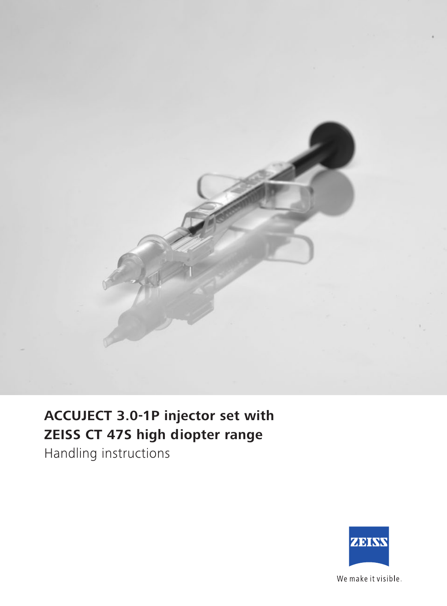

## **ACCUJECT 3.0-1P injector set with ZEISS CT 47S high diopter range**

Handling instructions



We make it visible.